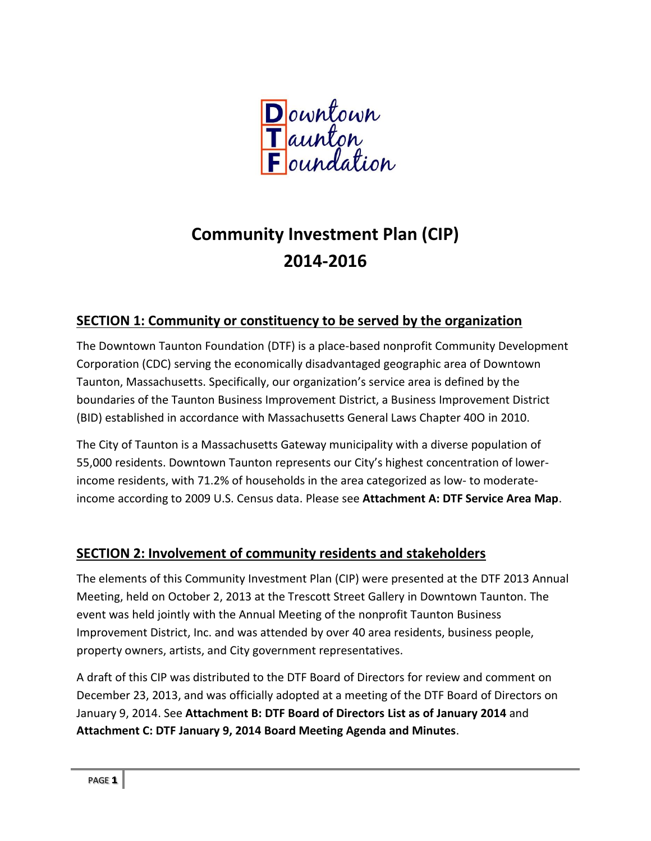

# **Community Investment Plan (CIP) 2014-2016**

# **SECTION 1: Community or constituency to be served by the organization**

The Downtown Taunton Foundation (DTF) is a place-based nonprofit Community Development Corporation (CDC) serving the economically disadvantaged geographic area of Downtown Taunton, Massachusetts. Specifically, our organization's service area is defined by the boundaries of the Taunton Business Improvement District, a Business Improvement District (BID) established in accordance with Massachusetts General Laws Chapter 40O in 2010.

The City of Taunton is a Massachusetts Gateway municipality with a diverse population of 55,000 residents. Downtown Taunton represents our City's highest concentration of lowerincome residents, with 71.2% of households in the area categorized as low- to moderateincome according to 2009 U.S. Census data. Please see **Attachment A: DTF Service Area Map**.

# **SECTION 2: Involvement of community residents and stakeholders**

The elements of this Community Investment Plan (CIP) were presented at the DTF 2013 Annual Meeting, held on October 2, 2013 at the Trescott Street Gallery in Downtown Taunton. The event was held jointly with the Annual Meeting of the nonprofit Taunton Business Improvement District, Inc. and was attended by over 40 area residents, business people, property owners, artists, and City government representatives.

A draft of this CIP was distributed to the DTF Board of Directors for review and comment on December 23, 2013, and was officially adopted at a meeting of the DTF Board of Directors on January 9, 2014. See **Attachment B: DTF Board of Directors List as of January 2014** and **Attachment C: DTF January 9, 2014 Board Meeting Agenda and Minutes**.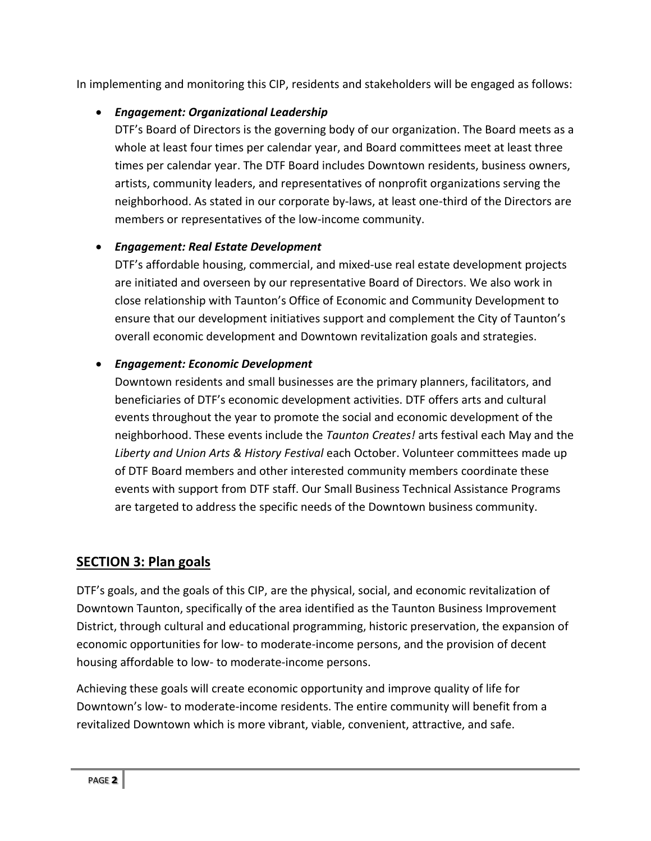In implementing and monitoring this CIP, residents and stakeholders will be engaged as follows:

## *Engagement: Organizational Leadership*

DTF's Board of Directors is the governing body of our organization. The Board meets as a whole at least four times per calendar year, and Board committees meet at least three times per calendar year. The DTF Board includes Downtown residents, business owners, artists, community leaders, and representatives of nonprofit organizations serving the neighborhood. As stated in our corporate by-laws, at least one-third of the Directors are members or representatives of the low-income community.

## *Engagement: Real Estate Development*

DTF's affordable housing, commercial, and mixed-use real estate development projects are initiated and overseen by our representative Board of Directors. We also work in close relationship with Taunton's Office of Economic and Community Development to ensure that our development initiatives support and complement the City of Taunton's overall economic development and Downtown revitalization goals and strategies.

#### *Engagement: Economic Development*

Downtown residents and small businesses are the primary planners, facilitators, and beneficiaries of DTF's economic development activities. DTF offers arts and cultural events throughout the year to promote the social and economic development of the neighborhood. These events include the *Taunton Creates!* arts festival each May and the *Liberty and Union Arts & History Festival* each October. Volunteer committees made up of DTF Board members and other interested community members coordinate these events with support from DTF staff. Our Small Business Technical Assistance Programs are targeted to address the specific needs of the Downtown business community.

## **SECTION 3: Plan goals**

DTF's goals, and the goals of this CIP, are the physical, social, and economic revitalization of Downtown Taunton, specifically of the area identified as the Taunton Business Improvement District, through cultural and educational programming, historic preservation, the expansion of economic opportunities for low- to moderate-income persons, and the provision of decent housing affordable to low- to moderate-income persons.

Achieving these goals will create economic opportunity and improve quality of life for Downtown's low- to moderate-income residents. The entire community will benefit from a revitalized Downtown which is more vibrant, viable, convenient, attractive, and safe.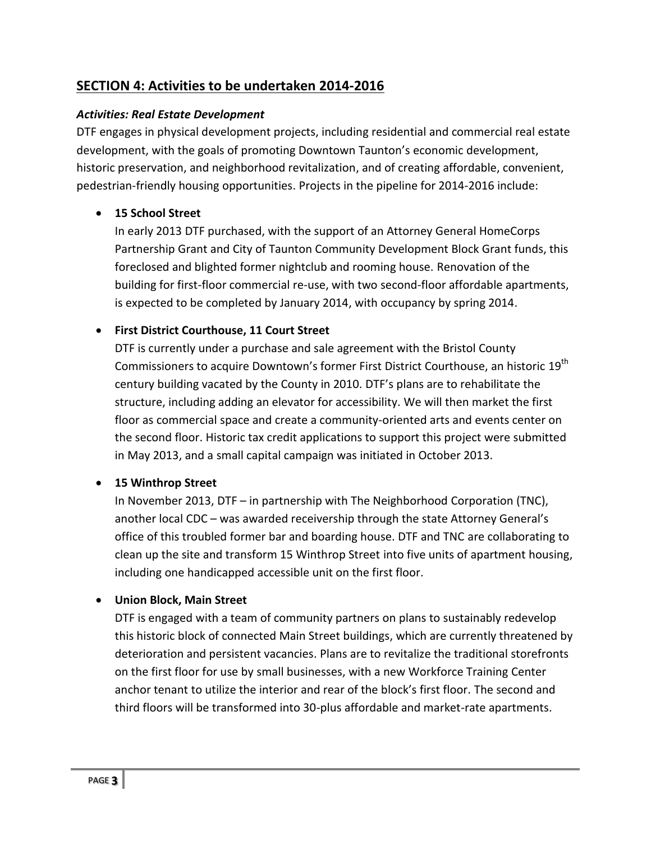# **SECTION 4: Activities to be undertaken 2014-2016**

#### *Activities: Real Estate Development*

DTF engages in physical development projects, including residential and commercial real estate development, with the goals of promoting Downtown Taunton's economic development, historic preservation, and neighborhood revitalization, and of creating affordable, convenient, pedestrian-friendly housing opportunities. Projects in the pipeline for 2014-2016 include:

#### **15 School Street**

In early 2013 DTF purchased, with the support of an Attorney General HomeCorps Partnership Grant and City of Taunton Community Development Block Grant funds, this foreclosed and blighted former nightclub and rooming house. Renovation of the building for first-floor commercial re-use, with two second-floor affordable apartments, is expected to be completed by January 2014, with occupancy by spring 2014.

#### **First District Courthouse, 11 Court Street**

DTF is currently under a purchase and sale agreement with the Bristol County Commissioners to acquire Downtown's former First District Courthouse, an historic 19<sup>th</sup> century building vacated by the County in 2010. DTF's plans are to rehabilitate the structure, including adding an elevator for accessibility. We will then market the first floor as commercial space and create a community-oriented arts and events center on the second floor. Historic tax credit applications to support this project were submitted in May 2013, and a small capital campaign was initiated in October 2013.

#### **15 Winthrop Street**

In November 2013, DTF – in partnership with The Neighborhood Corporation (TNC), another local CDC – was awarded receivership through the state Attorney General's office of this troubled former bar and boarding house. DTF and TNC are collaborating to clean up the site and transform 15 Winthrop Street into five units of apartment housing, including one handicapped accessible unit on the first floor.

#### **Union Block, Main Street**

DTF is engaged with a team of community partners on plans to sustainably redevelop this historic block of connected Main Street buildings, which are currently threatened by deterioration and persistent vacancies. Plans are to revitalize the traditional storefronts on the first floor for use by small businesses, with a new Workforce Training Center anchor tenant to utilize the interior and rear of the block's first floor. The second and third floors will be transformed into 30-plus affordable and market-rate apartments.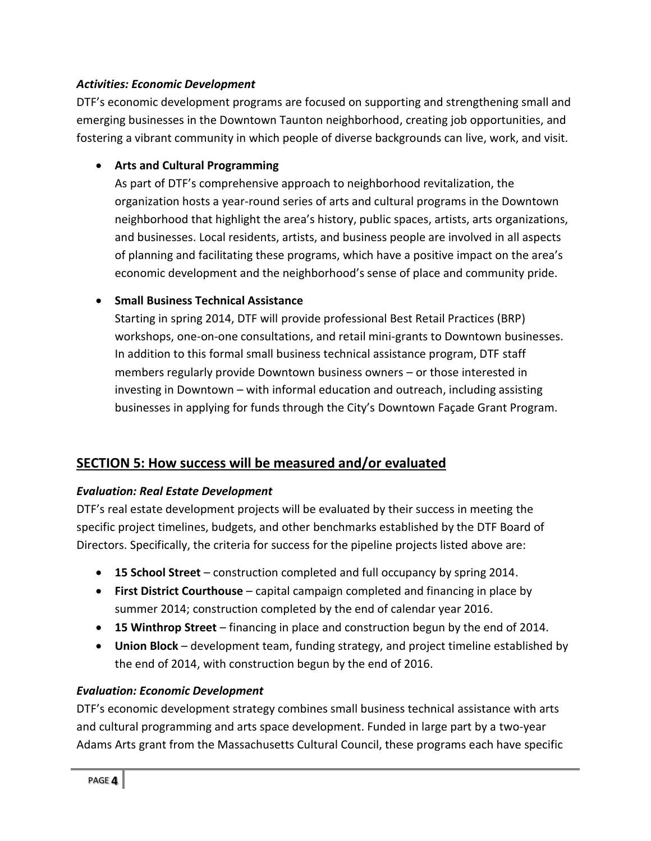#### *Activities: Economic Development*

DTF's economic development programs are focused on supporting and strengthening small and emerging businesses in the Downtown Taunton neighborhood, creating job opportunities, and fostering a vibrant community in which people of diverse backgrounds can live, work, and visit.

## **Arts and Cultural Programming**

As part of DTF's comprehensive approach to neighborhood revitalization, the organization hosts a year-round series of arts and cultural programs in the Downtown neighborhood that highlight the area's history, public spaces, artists, arts organizations, and businesses. Local residents, artists, and business people are involved in all aspects of planning and facilitating these programs, which have a positive impact on the area's economic development and the neighborhood's sense of place and community pride.

#### **Small Business Technical Assistance**

Starting in spring 2014, DTF will provide professional Best Retail Practices (BRP) workshops, one-on-one consultations, and retail mini-grants to Downtown businesses. In addition to this formal small business technical assistance program, DTF staff members regularly provide Downtown business owners – or those interested in investing in Downtown – with informal education and outreach, including assisting businesses in applying for funds through the City's Downtown Façade Grant Program.

# **SECTION 5: How success will be measured and/or evaluated**

#### *Evaluation: Real Estate Development*

DTF's real estate development projects will be evaluated by their success in meeting the specific project timelines, budgets, and other benchmarks established by the DTF Board of Directors. Specifically, the criteria for success for the pipeline projects listed above are:

- **15 School Street** construction completed and full occupancy by spring 2014.
- **First District Courthouse** capital campaign completed and financing in place by summer 2014; construction completed by the end of calendar year 2016.
- **15 Winthrop Street** financing in place and construction begun by the end of 2014.
- **Union Block** development team, funding strategy, and project timeline established by the end of 2014, with construction begun by the end of 2016.

#### *Evaluation: Economic Development*

DTF's economic development strategy combines small business technical assistance with arts and cultural programming and arts space development. Funded in large part by a two-year Adams Arts grant from the Massachusetts Cultural Council, these programs each have specific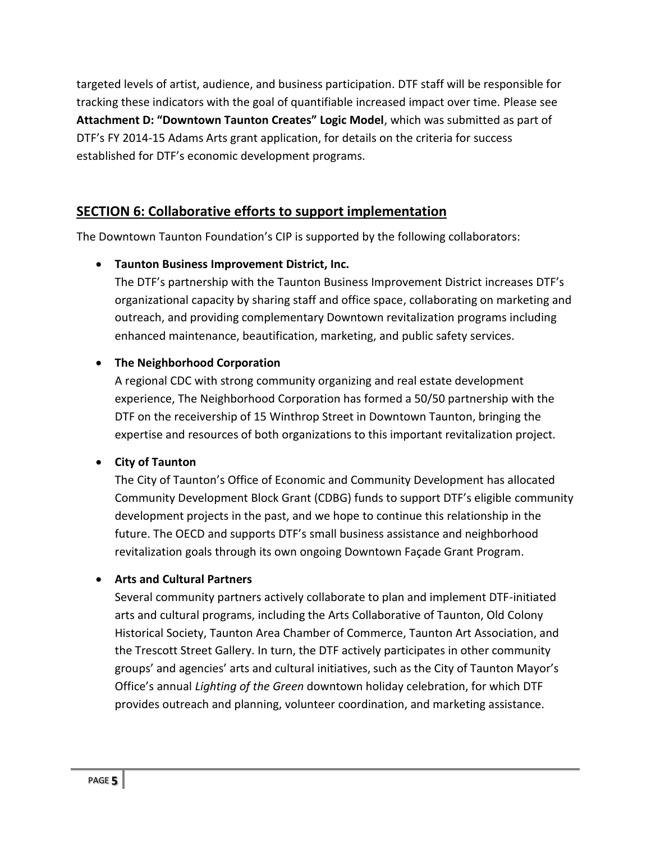targeted levels of artist, audience, and business participation. DTF staff will be responsible for tracking these indicators with the goal of quantifiable increased impact over time. Please see **Attachment D: "Downtown Taunton Creates" Logic Model**, which was submitted as part of DTF's FY 2014-15 Adams Arts grant application, for details on the criteria for success established for DTF's economic development programs.

## **SECTION 6: Collaborative efforts to support implementation**

The Downtown Taunton Foundation's CIP is supported by the following collaborators:

**Taunton Business Improvement District, Inc.**

The DTF's partnership with the Taunton Business Improvement District increases DTF's organizational capacity by sharing staff and office space, collaborating on marketing and outreach, and providing complementary Downtown revitalization programs including enhanced maintenance, beautification, marketing, and public safety services.

#### **The Neighborhood Corporation**

A regional CDC with strong community organizing and real estate development experience, The Neighborhood Corporation has formed a 50/50 partnership with the DTF on the receivership of 15 Winthrop Street in Downtown Taunton, bringing the expertise and resources of both organizations to this important revitalization project.

#### **City of Taunton**

The City of Taunton's Office of Economic and Community Development has allocated Community Development Block Grant (CDBG) funds to support DTF's eligible community development projects in the past, and we hope to continue this relationship in the future. The OECD and supports DTF's small business assistance and neighborhood revitalization goals through its own ongoing Downtown Façade Grant Program.

#### **Arts and Cultural Partners**

Several community partners actively collaborate to plan and implement DTF-initiated arts and cultural programs, including the Arts Collaborative of Taunton, Old Colony Historical Society, Taunton Area Chamber of Commerce, Taunton Art Association, and the Trescott Street Gallery. In turn, the DTF actively participates in other community groups' and agencies' arts and cultural initiatives, such as the City of Taunton Mayor's Office's annual *Lighting of the Green* downtown holiday celebration, for which DTF provides outreach and planning, volunteer coordination, and marketing assistance.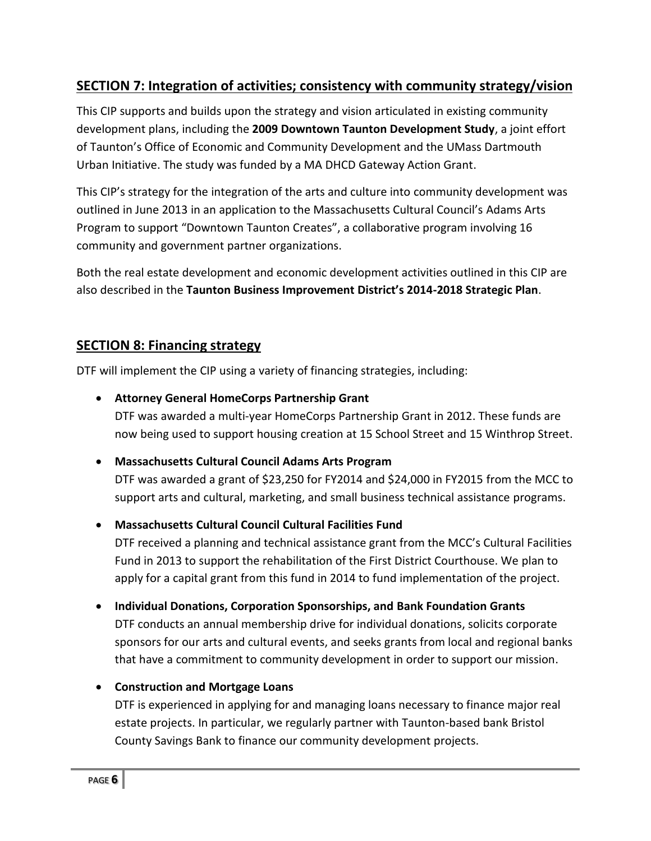# **SECTION 7: Integration of activities; consistency with community strategy/vision**

This CIP supports and builds upon the strategy and vision articulated in existing community development plans, including the **2009 Downtown Taunton Development Study**, a joint effort of Taunton's Office of Economic and Community Development and the UMass Dartmouth Urban Initiative. The study was funded by a MA DHCD Gateway Action Grant.

This CIP's strategy for the integration of the arts and culture into community development was outlined in June 2013 in an application to the Massachusetts Cultural Council's Adams Arts Program to support "Downtown Taunton Creates", a collaborative program involving 16 community and government partner organizations.

Both the real estate development and economic development activities outlined in this CIP are also described in the **Taunton Business Improvement District's 2014-2018 Strategic Plan**.

## **SECTION 8: Financing strategy**

DTF will implement the CIP using a variety of financing strategies, including:

#### **Attorney General HomeCorps Partnership Grant**

DTF was awarded a multi-year HomeCorps Partnership Grant in 2012. These funds are now being used to support housing creation at 15 School Street and 15 Winthrop Street.

#### **Massachusetts Cultural Council Adams Arts Program**

DTF was awarded a grant of \$23,250 for FY2014 and \$24,000 in FY2015 from the MCC to support arts and cultural, marketing, and small business technical assistance programs.

#### **Massachusetts Cultural Council Cultural Facilities Fund**

DTF received a planning and technical assistance grant from the MCC's Cultural Facilities Fund in 2013 to support the rehabilitation of the First District Courthouse. We plan to apply for a capital grant from this fund in 2014 to fund implementation of the project.

#### **Individual Donations, Corporation Sponsorships, and Bank Foundation Grants**

DTF conducts an annual membership drive for individual donations, solicits corporate sponsors for our arts and cultural events, and seeks grants from local and regional banks that have a commitment to community development in order to support our mission.

#### **Construction and Mortgage Loans**

DTF is experienced in applying for and managing loans necessary to finance major real estate projects. In particular, we regularly partner with Taunton-based bank Bristol County Savings Bank to finance our community development projects.